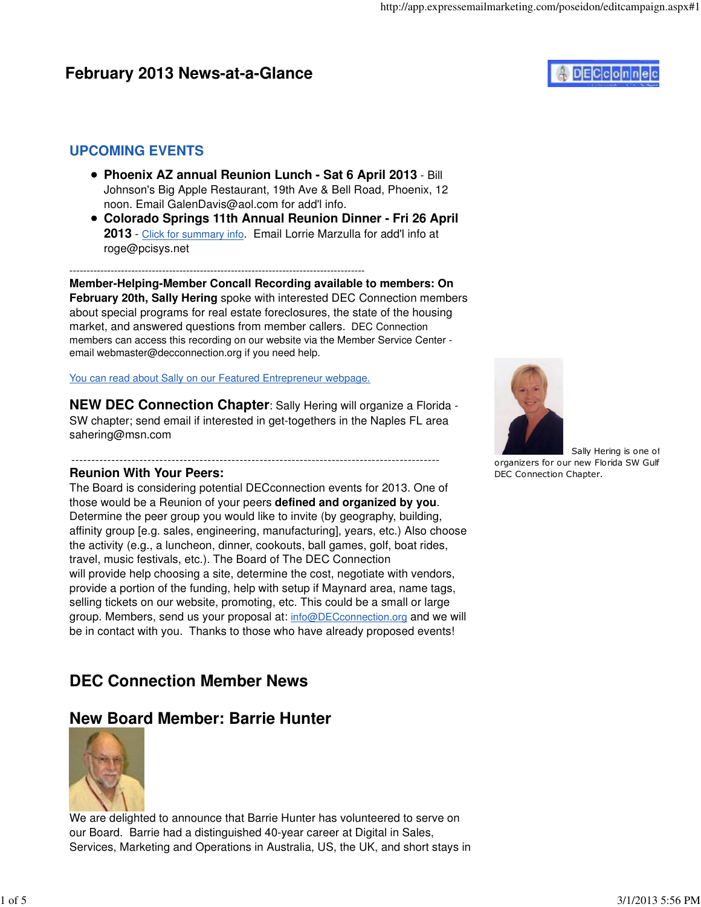## **February 2013 News-at-a-Glance**

# **DECconne**

### **UPCOMING EVENTS**

- **Phoenix AZ annual Reunion Lunch Sat 6 April 2013** Bill Johnson's Big Apple Restaurant, 19th Ave & Bell Road, Phoenix, 12 noon. Email GalenDavis@aol.com for add'l info.
- **Colorado Springs 11th Annual Reunion Dinner Fri 26 April 2013** - Click for summary info. Email Lorrie Marzulla for add'l info at roge@pcisys.net

--------------------------------------------------------------------------------------

**Member-Helping-Member Concall Recording available to members: On February 20th, Sally Hering** spoke with interested DEC Connection members about special programs for real estate foreclosures, the state of the housing market, and answered questions from member callers. DEC Connection members can access this recording on our website via the Member Service Center email webmaster@decconnection.org if you need help.

You can read about Sally on our Featured Entrepreneur webpage.

**NEW DEC Connection Chapter:** Sally Hering will organize a Florida -SW chapter; send email if interested in get-togethers in the Naples FL area sahering@msn.com

#### -------------------------------------------------------------------------------------------- **Reunion With Your Peers:**

The Board is considering potential DECconnection events for 2013. One of those would be a Reunion of your peers **defined and organized by you**. Determine the peer group you would like to invite (by geography, building, affinity group [e.g. sales, engineering, manufacturing], years, etc.) Also choose the activity (e.g., a luncheon, dinner, cookouts, ball games, golf, boat rides, travel, music festivals, etc.). The Board of The DEC Connection will provide help choosing a site, determine the cost, negotiate with vendors, provide a portion of the funding, help with setup if Maynard area, name tags, selling tickets on our website, promoting, etc. This could be a small or large group. Members, send us your proposal at: info@DECconnection.org and we will be in contact with you. Thanks to those who have already proposed events!

## **DEC Connection Member News**

### **New Board Member: Barrie Hunter**



We are delighted to announce that Barrie Hunter has volunteered to serve on our Board. Barrie had a distinguished 40-year career at Digital in Sales, Services, Marketing and Operations in Australia, US, the UK, and short stays in



Sally Hering is one of organizers for our new Florida SW Gulf DEC Connection Chapter.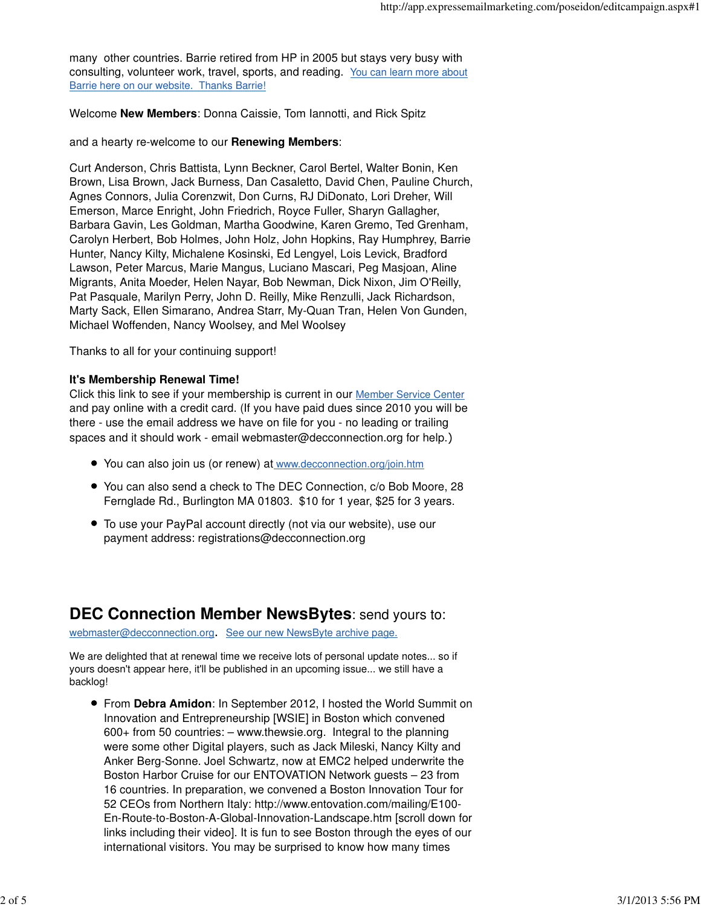many other countries. Barrie retired from HP in 2005 but stays very busy with consulting, volunteer work, travel, sports, and reading. You can learn more about Barrie here on our website. Thanks Barrie!

Welcome **New Members**: Donna Caissie, Tom Iannotti, and Rick Spitz

#### and a hearty re-welcome to our **Renewing Members**:

Curt Anderson, Chris Battista, Lynn Beckner, Carol Bertel, Walter Bonin, Ken Brown, Lisa Brown, Jack Burness, Dan Casaletto, David Chen, Pauline Church, Agnes Connors, Julia Corenzwit, Don Curns, RJ DiDonato, Lori Dreher, Will Emerson, Marce Enright, John Friedrich, Royce Fuller, Sharyn Gallagher, Barbara Gavin, Les Goldman, Martha Goodwine, Karen Gremo, Ted Grenham, Carolyn Herbert, Bob Holmes, John Holz, John Hopkins, Ray Humphrey, Barrie Hunter, Nancy Kilty, Michalene Kosinski, Ed Lengyel, Lois Levick, Bradford Lawson, Peter Marcus, Marie Mangus, Luciano Mascari, Peg Masjoan, Aline Migrants, Anita Moeder, Helen Nayar, Bob Newman, Dick Nixon, Jim O'Reilly, Pat Pasquale, Marilyn Perry, John D. Reilly, Mike Renzulli, Jack Richardson, Marty Sack, Ellen Simarano, Andrea Starr, My-Quan Tran, Helen Von Gunden, Michael Woffenden, Nancy Woolsey, and Mel Woolsey

Thanks to all for your continuing support!

### **It's Membership Renewal Time!**

Click this link to see if your membership is current in our Member Service Center and pay online with a credit card. (If you have paid dues since 2010 you will be there - use the email address we have on file for you - no leading or trailing spaces and it should work - email webmaster@decconnection.org for help.)

- You can also join us (or renew) at www.decconnection.org/join.htm
- You can also send a check to The DEC Connection, c/o Bob Moore, 28 Fernglade Rd., Burlington MA 01803. \$10 for 1 year, \$25 for 3 years.
- To use your PayPal account directly (not via our website), use our payment address: registrations@decconnection.org

### **DEC Connection Member NewsBytes**: send yours to:

webmaster@decconnection.org. See our new NewsByte archive page.

We are delighted that at renewal time we receive lots of personal update notes... so if yours doesn't appear here, it'll be published in an upcoming issue... we still have a backlog!

From **Debra Amidon**: In September 2012, I hosted the World Summit on Innovation and Entrepreneurship [WSIE] in Boston which convened 600+ from 50 countries: – www.thewsie.org. Integral to the planning were some other Digital players, such as Jack Mileski, Nancy Kilty and Anker Berg-Sonne. Joel Schwartz, now at EMC2 helped underwrite the Boston Harbor Cruise for our ENTOVATION Network guests – 23 from 16 countries. In preparation, we convened a Boston Innovation Tour for 52 CEOs from Northern Italy: http://www.entovation.com/mailing/E100- En-Route-to-Boston-A-Global-Innovation-Landscape.htm [scroll down for links including their video]. It is fun to see Boston through the eyes of our international visitors. You may be surprised to know how many times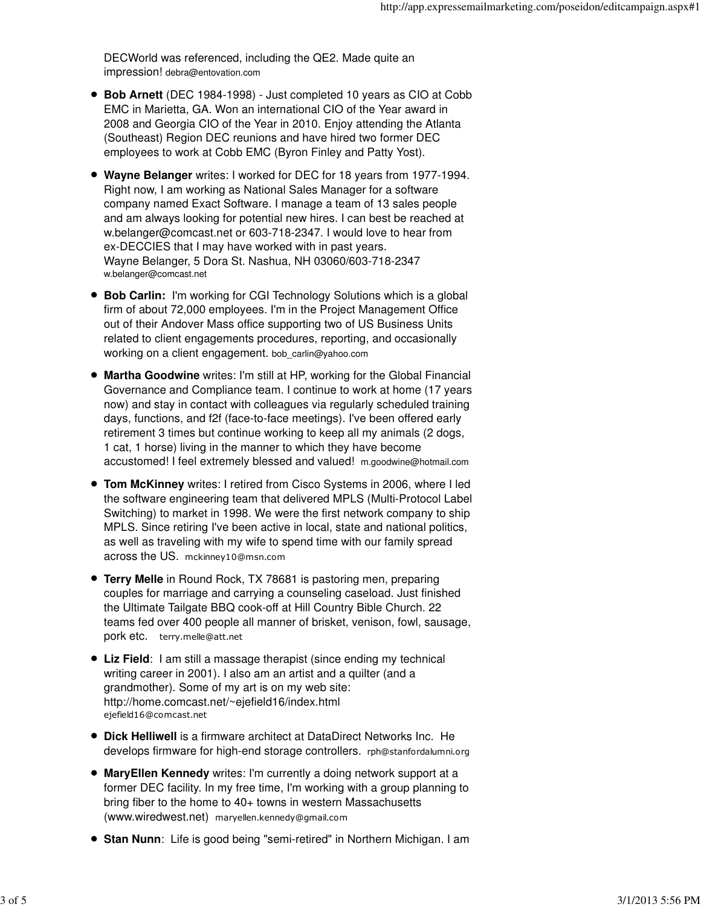DECWorld was referenced, including the QE2. Made quite an impression! debra@entovation.com

- **Bob Arnett** (DEC 1984-1998) Just completed 10 years as CIO at Cobb EMC in Marietta, GA. Won an international CIO of the Year award in 2008 and Georgia CIO of the Year in 2010. Enjoy attending the Atlanta (Southeast) Region DEC reunions and have hired two former DEC employees to work at Cobb EMC (Byron Finley and Patty Yost).
- **Wayne Belanger** writes: I worked for DEC for 18 years from 1977-1994. Right now, I am working as National Sales Manager for a software company named Exact Software. I manage a team of 13 sales people and am always looking for potential new hires. I can best be reached at w.belanger@comcast.net or 603-718-2347. I would love to hear from ex-DECCIES that I may have worked with in past years. Wayne Belanger, 5 Dora St. Nashua, NH 03060/603-718-2347 w.belanger@comcast.net
- **Bob Carlin:** I'm working for CGI Technology Solutions which is a global firm of about 72,000 employees. I'm in the Project Management Office out of their Andover Mass office supporting two of US Business Units related to client engagements procedures, reporting, and occasionally working on a client engagement. bob\_carlin@yahoo.com
- **Martha Goodwine** writes: I'm still at HP, working for the Global Financial Governance and Compliance team. I continue to work at home (17 years now) and stay in contact with colleagues via regularly scheduled training days, functions, and f2f (face-to-face meetings). I've been offered early retirement 3 times but continue working to keep all my animals (2 dogs, 1 cat, 1 horse) living in the manner to which they have become accustomed! I feel extremely blessed and valued! m.goodwine@hotmail.com
- **Tom McKinney** writes: I retired from Cisco Systems in 2006, where I led the software engineering team that delivered MPLS (Multi-Protocol Label Switching) to market in 1998. We were the first network company to ship MPLS. Since retiring I've been active in local, state and national politics, as well as traveling with my wife to spend time with our family spread across the US. mckinney10@msn.com
- **Terry Melle** in Round Rock, TX 78681 is pastoring men, preparing couples for marriage and carrying a counseling caseload. Just finished the Ultimate Tailgate BBQ cook-off at Hill Country Bible Church. 22 teams fed over 400 people all manner of brisket, venison, fowl, sausage, pork etc. terry.melle@att.net
- **Liz Field**: I am still a massage therapist (since ending my technical writing career in 2001). I also am an artist and a quilter (and a grandmother). Some of my art is on my web site: http://home.comcast.net/~ejefield16/index.html ejefield16@comcast.net
- **Dick Helliwell** is a firmware architect at DataDirect Networks Inc. He develops firmware for high-end storage controllers. rph@stanfordalumni.org
- **MaryEllen Kennedy** writes: I'm currently a doing network support at a former DEC facility. In my free time, I'm working with a group planning to bring fiber to the home to 40+ towns in western Massachusetts (www.wiredwest.net) maryellen.kennedy@gmail.com
- **Stan Nunn**: Life is good being "semi-retired" in Northern Michigan. I am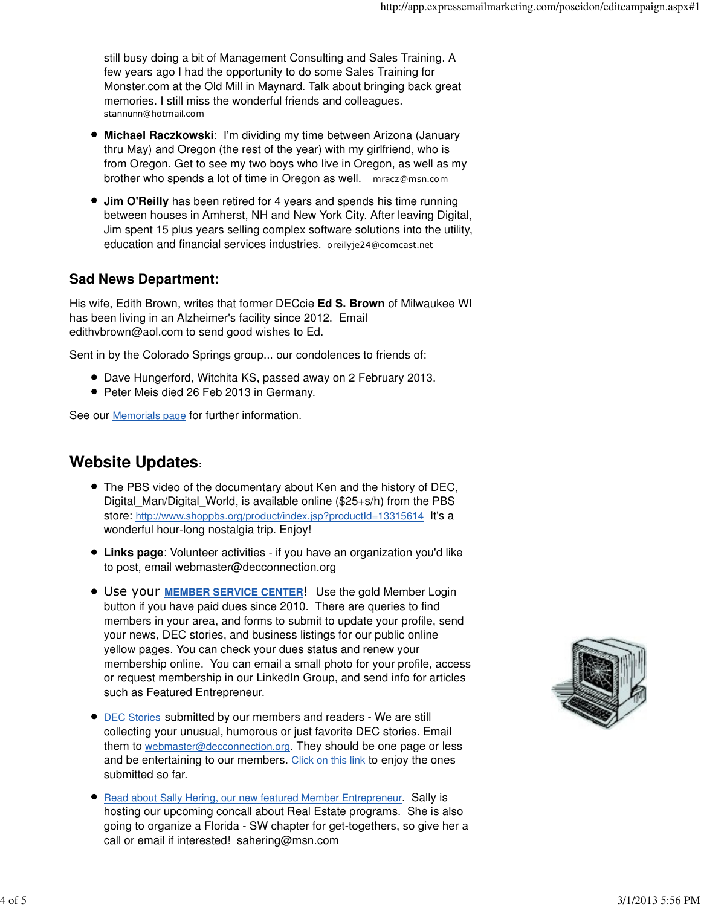still busy doing a bit of Management Consulting and Sales Training. A few years ago I had the opportunity to do some Sales Training for Monster.com at the Old Mill in Maynard. Talk about bringing back great memories. I still miss the wonderful friends and colleagues. stannunn@hotmail.com

- **Michael Raczkowski**: I'm dividing my time between Arizona (January thru May) and Oregon (the rest of the year) with my girlfriend, who is from Oregon. Get to see my two boys who live in Oregon, as well as my brother who spends a lot of time in Oregon as well. mracz@msn.com
- **Jim O'Reilly** has been retired for 4 years and spends his time running between houses in Amherst, NH and New York City. After leaving Digital, Jim spent 15 plus years selling complex software solutions into the utility, education and financial services industries. oreillyje24@comcast.net

### **Sad News Department:**

His wife, Edith Brown, writes that former DECcie **Ed S. Brown** of Milwaukee WI has been living in an Alzheimer's facility since 2012. Email edithvbrown@aol.com to send good wishes to Ed.

Sent in by the Colorado Springs group... our condolences to friends of:

- Dave Hungerford, Witchita KS, passed away on 2 February 2013.
- Peter Meis died 26 Feb 2013 in Germany.

See our **Memorials page** for further information.

## **Website Updates**:

- The PBS video of the documentary about Ken and the history of DEC, Digital Man/Digital World, is available online (\$25+s/h) from the PBS store: http://www.shoppbs.org/product/index.jsp?productId=13315614 It's a wonderful hour-long nostalgia trip. Enjoy!
- **Links page**: Volunteer activities if you have an organization you'd like to post, email webmaster@decconnection.org
- Use your **MEMBER SERVICE CENTER**! Use the gold Member Login button if you have paid dues since 2010. There are queries to find members in your area, and forms to submit to update your profile, send your news, DEC stories, and business listings for our public online yellow pages. You can check your dues status and renew your membership online. You can email a small photo for your profile, access or request membership in our LinkedIn Group, and send info for articles such as Featured Entrepreneur.
- **DEC Stories submitted by our members and readers We are still** collecting your unusual, humorous or just favorite DEC stories. Email them to webmaster@decconnection.org. They should be one page or less and be entertaining to our members. Click on this link to enjoy the ones submitted so far.
- **Read about Sally Hering, our new featured Member Entrepreneur. Sally is** hosting our upcoming concall about Real Estate programs. She is also going to organize a Florida - SW chapter for get-togethers, so give her a call or email if interested! sahering@msn.com